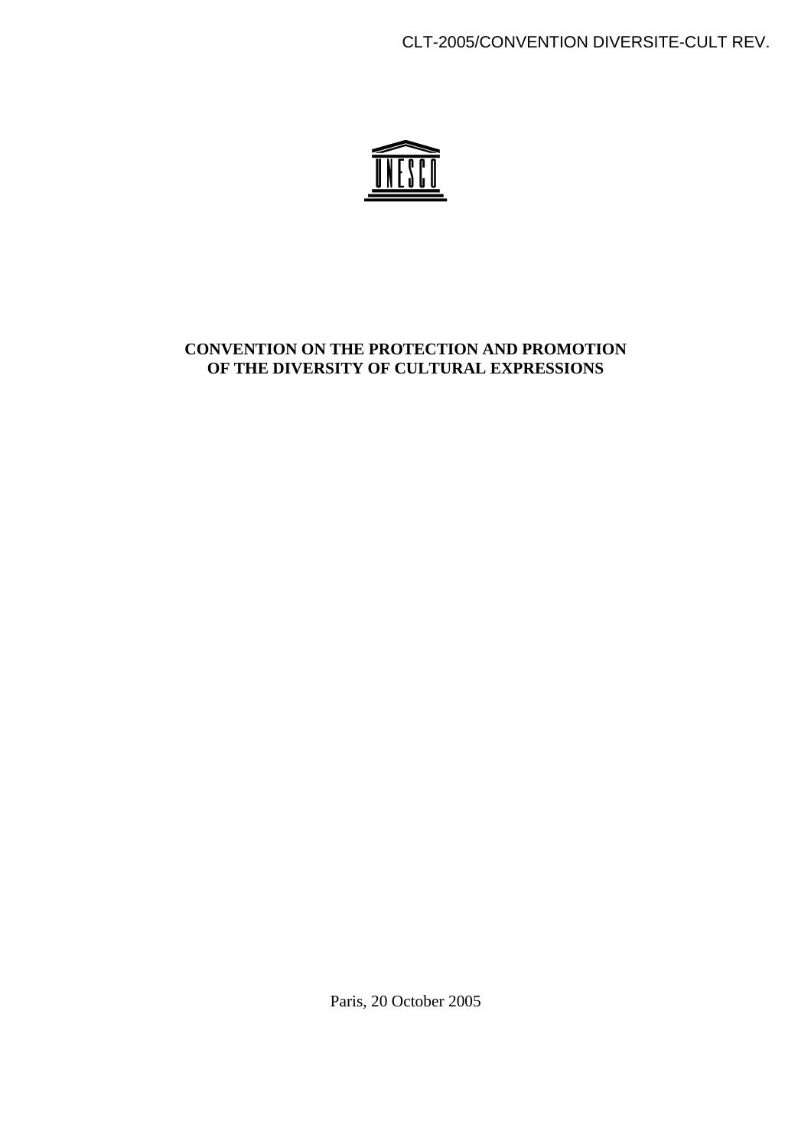CLT-2005/CONVENTION DIVERSITE-CULT REV.



# **CONVENTION ON THE PROTECTION AND PROMOTION OF THE DIVERSITY OF CULTURAL EXPRESSIONS**

Paris, 20 October 2005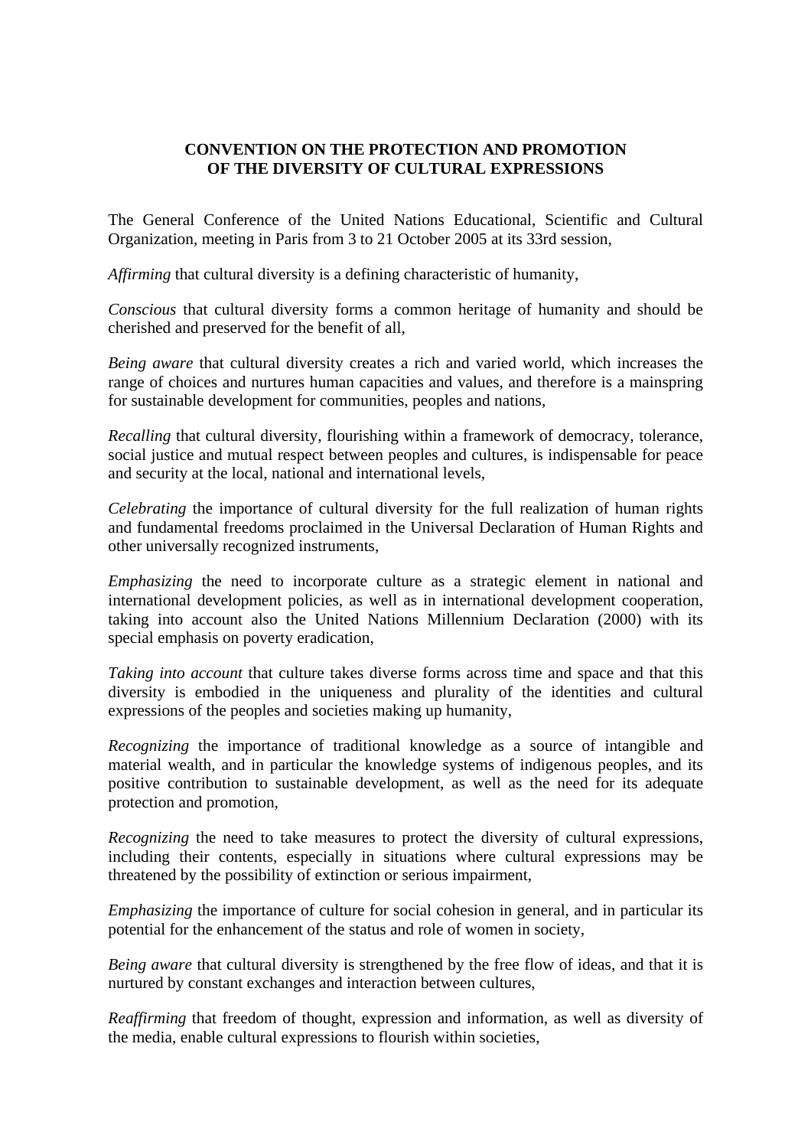## **CONVENTION ON THE PROTECTION AND PROMOTION OF THE DIVERSITY OF CULTURAL EXPRESSIONS**

The General Conference of the United Nations Educational, Scientific and Cultural Organization, meeting in Paris from 3 to 21 October 2005 at its 33rd session,

*Affirming* that cultural diversity is a defining characteristic of humanity,

*Conscious* that cultural diversity forms a common heritage of humanity and should be cherished and preserved for the benefit of all,

*Being aware* that cultural diversity creates a rich and varied world, which increases the range of choices and nurtures human capacities and values, and therefore is a mainspring for sustainable development for communities, peoples and nations,

*Recalling* that cultural diversity, flourishing within a framework of democracy, tolerance, social justice and mutual respect between peoples and cultures, is indispensable for peace and security at the local, national and international levels,

*Celebrating* the importance of cultural diversity for the full realization of human rights and fundamental freedoms proclaimed in the Universal Declaration of Human Rights and other universally recognized instruments,

*Emphasizing* the need to incorporate culture as a strategic element in national and international development policies, as well as in international development cooperation, taking into account also the United Nations Millennium Declaration (2000) with its special emphasis on poverty eradication,

*Taking into account* that culture takes diverse forms across time and space and that this diversity is embodied in the uniqueness and plurality of the identities and cultural expressions of the peoples and societies making up humanity,

*Recognizing* the importance of traditional knowledge as a source of intangible and material wealth, and in particular the knowledge systems of indigenous peoples, and its positive contribution to sustainable development, as well as the need for its adequate protection and promotion,

*Recognizing* the need to take measures to protect the diversity of cultural expressions, including their contents, especially in situations where cultural expressions may be threatened by the possibility of extinction or serious impairment,

*Emphasizing* the importance of culture for social cohesion in general, and in particular its potential for the enhancement of the status and role of women in society,

*Being aware* that cultural diversity is strengthened by the free flow of ideas, and that it is nurtured by constant exchanges and interaction between cultures,

*Reaffirming* that freedom of thought, expression and information, as well as diversity of the media, enable cultural expressions to flourish within societies,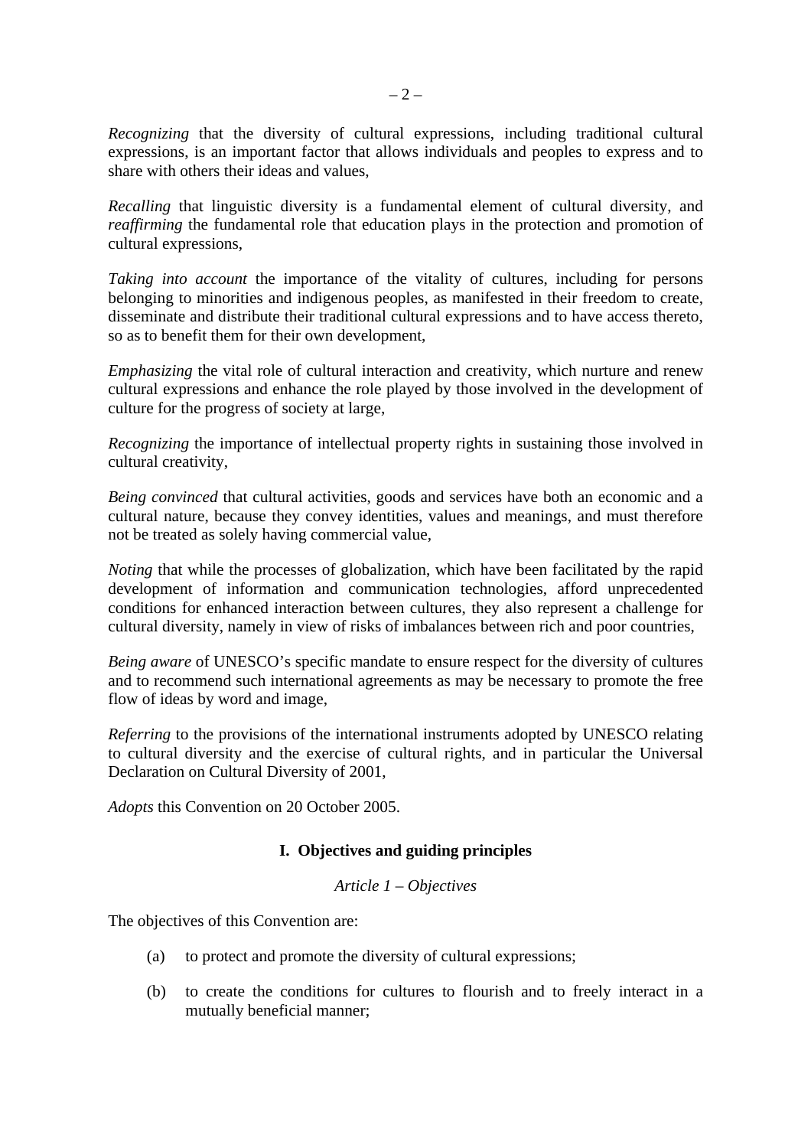*Recognizing* that the diversity of cultural expressions, including traditional cultural expressions, is an important factor that allows individuals and peoples to express and to share with others their ideas and values,

*Recalling* that linguistic diversity is a fundamental element of cultural diversity, and *reaffirming* the fundamental role that education plays in the protection and promotion of cultural expressions,

*Taking into account* the importance of the vitality of cultures, including for persons belonging to minorities and indigenous peoples, as manifested in their freedom to create, disseminate and distribute their traditional cultural expressions and to have access thereto, so as to benefit them for their own development,

*Emphasizing* the vital role of cultural interaction and creativity, which nurture and renew cultural expressions and enhance the role played by those involved in the development of culture for the progress of society at large,

*Recognizing* the importance of intellectual property rights in sustaining those involved in cultural creativity,

*Being convinced* that cultural activities, goods and services have both an economic and a cultural nature, because they convey identities, values and meanings, and must therefore not be treated as solely having commercial value,

*Noting* that while the processes of globalization, which have been facilitated by the rapid development of information and communication technologies, afford unprecedented conditions for enhanced interaction between cultures, they also represent a challenge for cultural diversity, namely in view of risks of imbalances between rich and poor countries,

*Being aware* of UNESCO's specific mandate to ensure respect for the diversity of cultures and to recommend such international agreements as may be necessary to promote the free flow of ideas by word and image,

*Referring* to the provisions of the international instruments adopted by UNESCO relating to cultural diversity and the exercise of cultural rights, and in particular the Universal Declaration on Cultural Diversity of 2001,

*Adopts* this Convention on 20 October 2005.

### **I. Objectives and guiding principles**

#### *Article 1 – Objectives*

The objectives of this Convention are:

- (a) to protect and promote the diversity of cultural expressions;
- (b) to create the conditions for cultures to flourish and to freely interact in a mutually beneficial manner;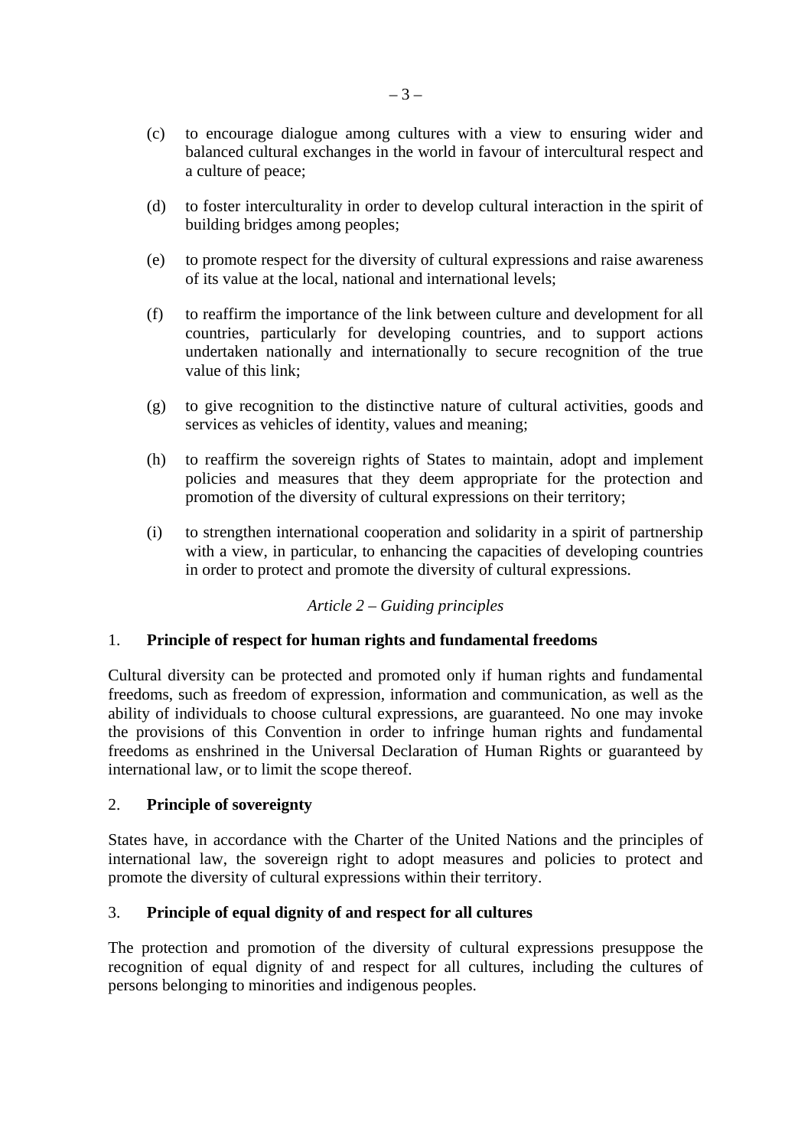- (c) to encourage dialogue among cultures with a view to ensuring wider and balanced cultural exchanges in the world in favour of intercultural respect and a culture of peace;
- (d) to foster interculturality in order to develop cultural interaction in the spirit of building bridges among peoples;
- (e) to promote respect for the diversity of cultural expressions and raise awareness of its value at the local, national and international levels;
- (f) to reaffirm the importance of the link between culture and development for all countries, particularly for developing countries, and to support actions undertaken nationally and internationally to secure recognition of the true value of this link;
- (g) to give recognition to the distinctive nature of cultural activities, goods and services as vehicles of identity, values and meaning;
- (h) to reaffirm the sovereign rights of States to maintain, adopt and implement policies and measures that they deem appropriate for the protection and promotion of the diversity of cultural expressions on their territory;
- (i) to strengthen international cooperation and solidarity in a spirit of partnership with a view, in particular, to enhancing the capacities of developing countries in order to protect and promote the diversity of cultural expressions.

### *Article 2 – Guiding principles*

### 1. **Principle of respect for human rights and fundamental freedoms**

Cultural diversity can be protected and promoted only if human rights and fundamental freedoms, such as freedom of expression, information and communication, as well as the ability of individuals to choose cultural expressions, are guaranteed. No one may invoke the provisions of this Convention in order to infringe human rights and fundamental freedoms as enshrined in the Universal Declaration of Human Rights or guaranteed by international law, or to limit the scope thereof.

### 2. **Principle of sovereignty**

States have, in accordance with the Charter of the United Nations and the principles of international law, the sovereign right to adopt measures and policies to protect and promote the diversity of cultural expressions within their territory.

### 3. **Principle of equal dignity of and respect for all cultures**

The protection and promotion of the diversity of cultural expressions presuppose the recognition of equal dignity of and respect for all cultures, including the cultures of persons belonging to minorities and indigenous peoples.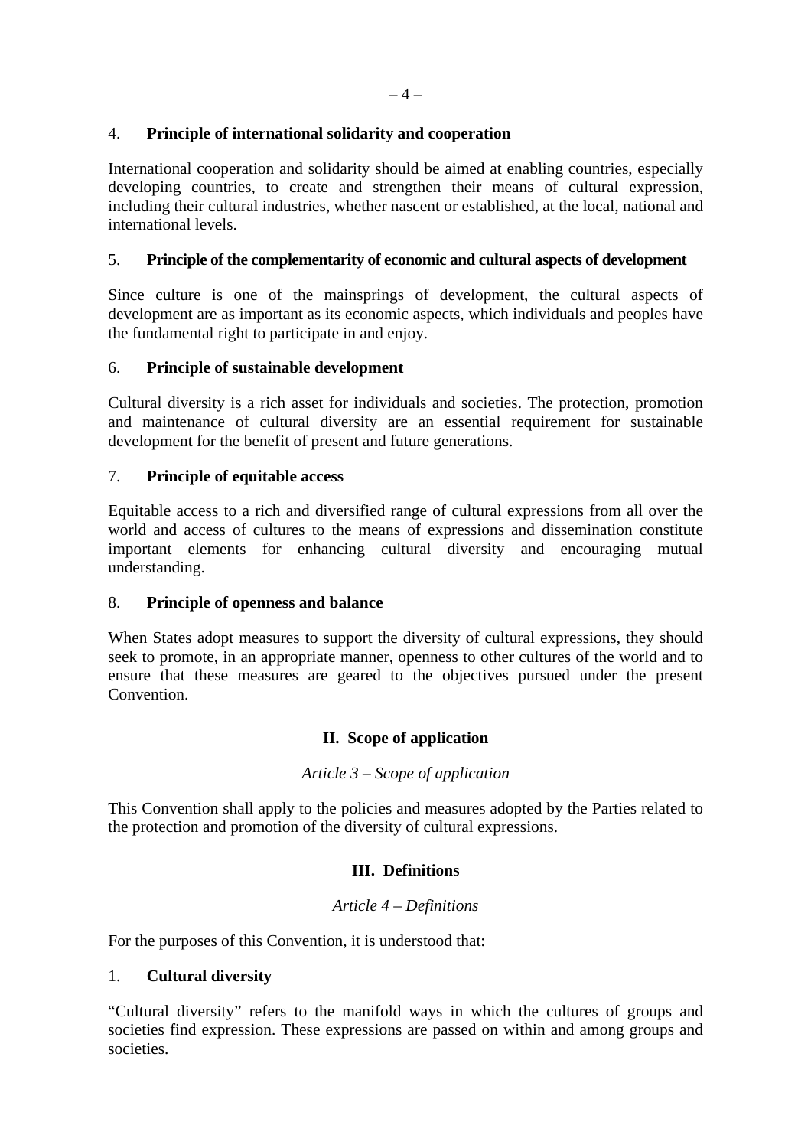## 4. **Principle of international solidarity and cooperation**

International cooperation and solidarity should be aimed at enabling countries, especially developing countries, to create and strengthen their means of cultural expression, including their cultural industries, whether nascent or established, at the local, national and international levels.

## 5. **Principle of the complementarity of economic and cultural aspects of development**

Since culture is one of the mainsprings of development, the cultural aspects of development are as important as its economic aspects, which individuals and peoples have the fundamental right to participate in and enjoy.

## 6. **Principle of sustainable development**

Cultural diversity is a rich asset for individuals and societies. The protection, promotion and maintenance of cultural diversity are an essential requirement for sustainable development for the benefit of present and future generations.

# 7. **Principle of equitable access**

Equitable access to a rich and diversified range of cultural expressions from all over the world and access of cultures to the means of expressions and dissemination constitute important elements for enhancing cultural diversity and encouraging mutual understanding.

### 8. **Principle of openness and balance**

When States adopt measures to support the diversity of cultural expressions, they should seek to promote, in an appropriate manner, openness to other cultures of the world and to ensure that these measures are geared to the objectives pursued under the present Convention.

# **II. Scope of application**

### *Article 3 – Scope of application*

This Convention shall apply to the policies and measures adopted by the Parties related to the protection and promotion of the diversity of cultural expressions.

# **III. Definitions**

### *Article 4 – Definitions*

For the purposes of this Convention, it is understood that:

### 1. **Cultural diversity**

"Cultural diversity" refers to the manifold ways in which the cultures of groups and societies find expression. These expressions are passed on within and among groups and societies.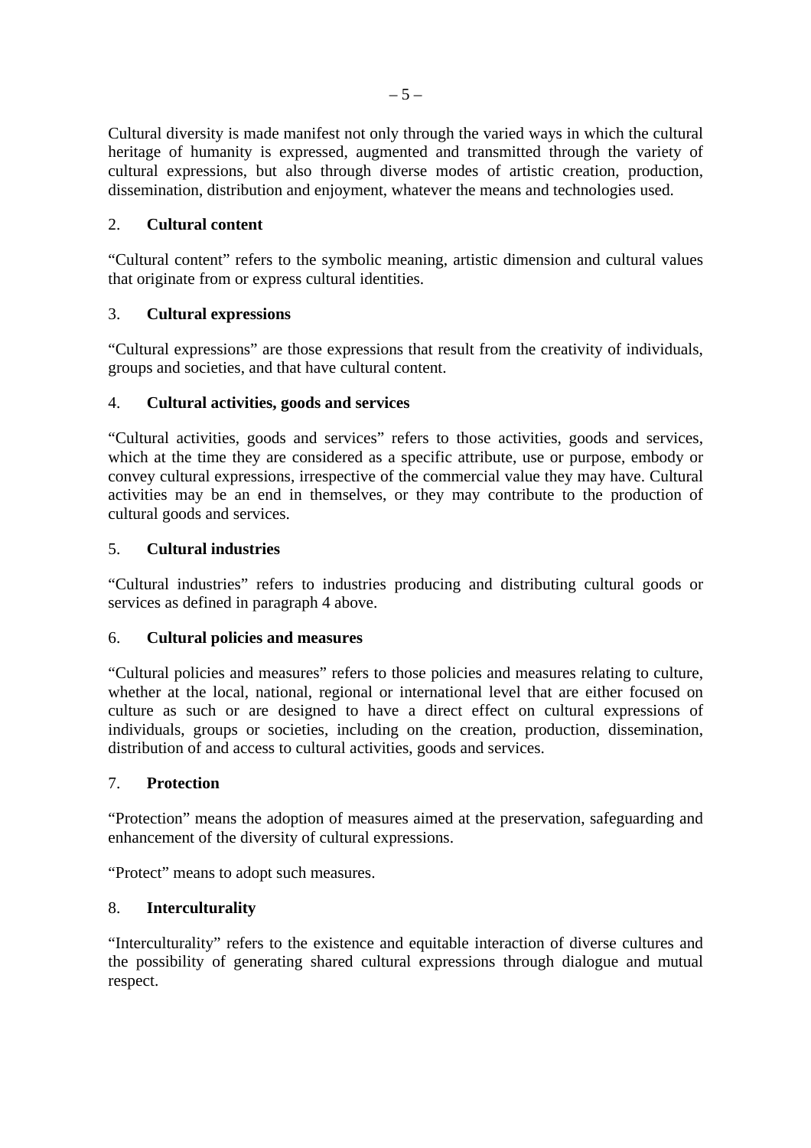Cultural diversity is made manifest not only through the varied ways in which the cultural heritage of humanity is expressed, augmented and transmitted through the variety of cultural expressions, but also through diverse modes of artistic creation, production, dissemination, distribution and enjoyment, whatever the means and technologies used.

# 2. **Cultural content**

"Cultural content" refers to the symbolic meaning, artistic dimension and cultural values that originate from or express cultural identities.

# 3. **Cultural expressions**

"Cultural expressions" are those expressions that result from the creativity of individuals, groups and societies, and that have cultural content.

# 4. **Cultural activities, goods and services**

"Cultural activities, goods and services" refers to those activities, goods and services, which at the time they are considered as a specific attribute, use or purpose, embody or convey cultural expressions, irrespective of the commercial value they may have. Cultural activities may be an end in themselves, or they may contribute to the production of cultural goods and services.

# 5. **Cultural industries**

"Cultural industries" refers to industries producing and distributing cultural goods or services as defined in paragraph 4 above.

# 6. **Cultural policies and measures**

"Cultural policies and measures" refers to those policies and measures relating to culture, whether at the local, national, regional or international level that are either focused on culture as such or are designed to have a direct effect on cultural expressions of individuals, groups or societies, including on the creation, production, dissemination, distribution of and access to cultural activities, goods and services.

# 7. **Protection**

"Protection" means the adoption of measures aimed at the preservation, safeguarding and enhancement of the diversity of cultural expressions.

"Protect" means to adopt such measures.

# 8. **Interculturality**

"Interculturality" refers to the existence and equitable interaction of diverse cultures and the possibility of generating shared cultural expressions through dialogue and mutual respect.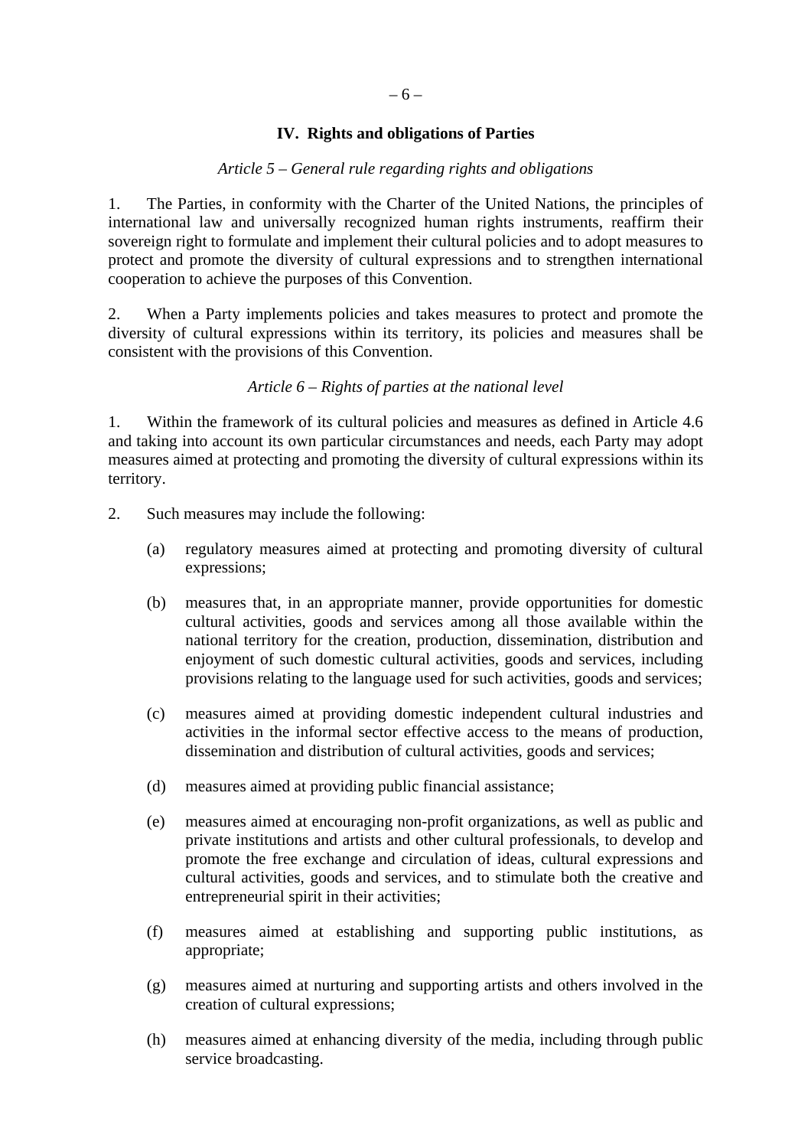#### $-6-$

#### **IV. Rights and obligations of Parties**

#### *Article 5 – General rule regarding rights and obligations*

1. The Parties, in conformity with the Charter of the United Nations, the principles of international law and universally recognized human rights instruments, reaffirm their sovereign right to formulate and implement their cultural policies and to adopt measures to protect and promote the diversity of cultural expressions and to strengthen international cooperation to achieve the purposes of this Convention.

2. When a Party implements policies and takes measures to protect and promote the diversity of cultural expressions within its territory, its policies and measures shall be consistent with the provisions of this Convention.

#### *Article 6 – Rights of parties at the national level*

1. Within the framework of its cultural policies and measures as defined in Article 4.6 and taking into account its own particular circumstances and needs, each Party may adopt measures aimed at protecting and promoting the diversity of cultural expressions within its territory.

- 2. Such measures may include the following:
	- (a) regulatory measures aimed at protecting and promoting diversity of cultural expressions;
	- (b) measures that, in an appropriate manner, provide opportunities for domestic cultural activities, goods and services among all those available within the national territory for the creation, production, dissemination, distribution and enjoyment of such domestic cultural activities, goods and services, including provisions relating to the language used for such activities, goods and services;
	- (c) measures aimed at providing domestic independent cultural industries and activities in the informal sector effective access to the means of production, dissemination and distribution of cultural activities, goods and services;
	- (d) measures aimed at providing public financial assistance;
	- (e) measures aimed at encouraging non-profit organizations, as well as public and private institutions and artists and other cultural professionals, to develop and promote the free exchange and circulation of ideas, cultural expressions and cultural activities, goods and services, and to stimulate both the creative and entrepreneurial spirit in their activities;
	- (f) measures aimed at establishing and supporting public institutions, as appropriate;
	- (g) measures aimed at nurturing and supporting artists and others involved in the creation of cultural expressions;
	- (h) measures aimed at enhancing diversity of the media, including through public service broadcasting.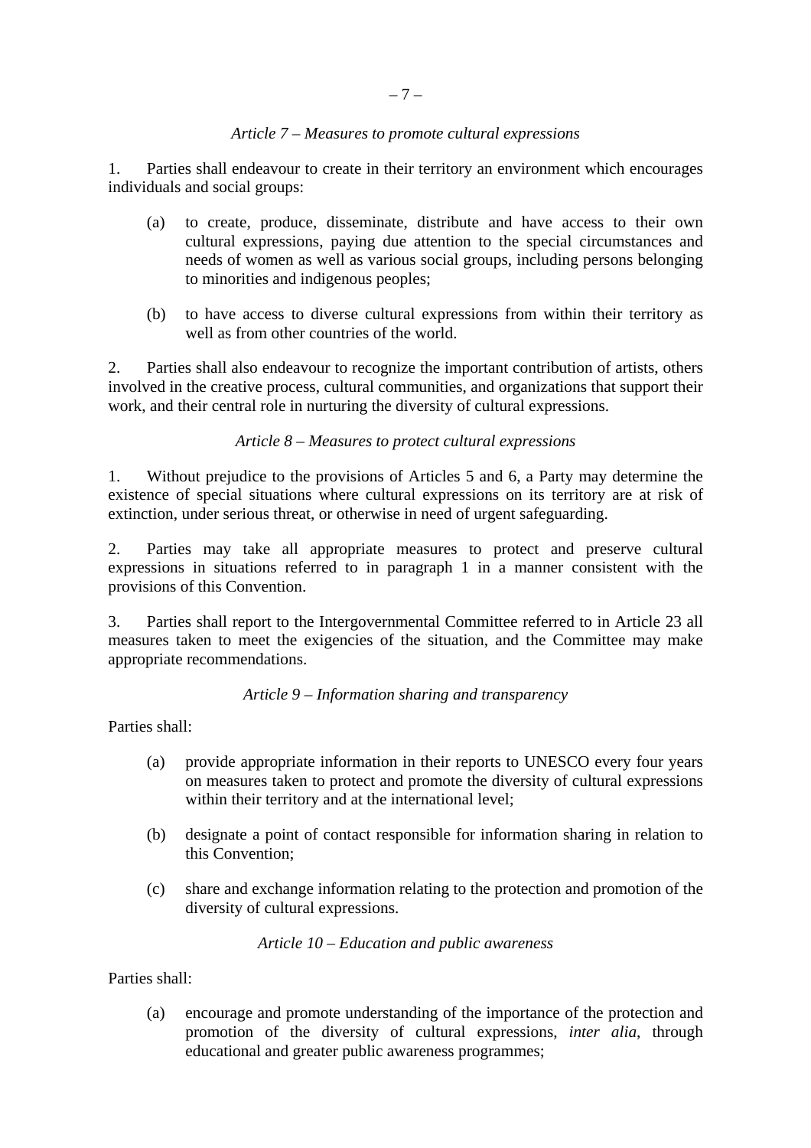### *Article 7 – Measures to promote cultural expressions*

1. Parties shall endeavour to create in their territory an environment which encourages individuals and social groups:

- (a) to create, produce, disseminate, distribute and have access to their own cultural expressions, paying due attention to the special circumstances and needs of women as well as various social groups, including persons belonging to minorities and indigenous peoples;
- (b) to have access to diverse cultural expressions from within their territory as well as from other countries of the world.

2. Parties shall also endeavour to recognize the important contribution of artists, others involved in the creative process, cultural communities, and organizations that support their work, and their central role in nurturing the diversity of cultural expressions.

## *Article 8 – Measures to protect cultural expressions*

1. Without prejudice to the provisions of Articles 5 and 6, a Party may determine the existence of special situations where cultural expressions on its territory are at risk of extinction, under serious threat, or otherwise in need of urgent safeguarding.

2. Parties may take all appropriate measures to protect and preserve cultural expressions in situations referred to in paragraph 1 in a manner consistent with the provisions of this Convention.

3. Parties shall report to the Intergovernmental Committee referred to in Article 23 all measures taken to meet the exigencies of the situation, and the Committee may make appropriate recommendations.

### *Article 9 – Information sharing and transparency*

Parties shall:

- (a) provide appropriate information in their reports to UNESCO every four years on measures taken to protect and promote the diversity of cultural expressions within their territory and at the international level;
- (b) designate a point of contact responsible for information sharing in relation to this Convention;
- (c) share and exchange information relating to the protection and promotion of the diversity of cultural expressions.

### *Article 10 – Education and public awareness*

### Parties shall:

(a) encourage and promote understanding of the importance of the protection and promotion of the diversity of cultural expressions, *inter alia*, through educational and greater public awareness programmes;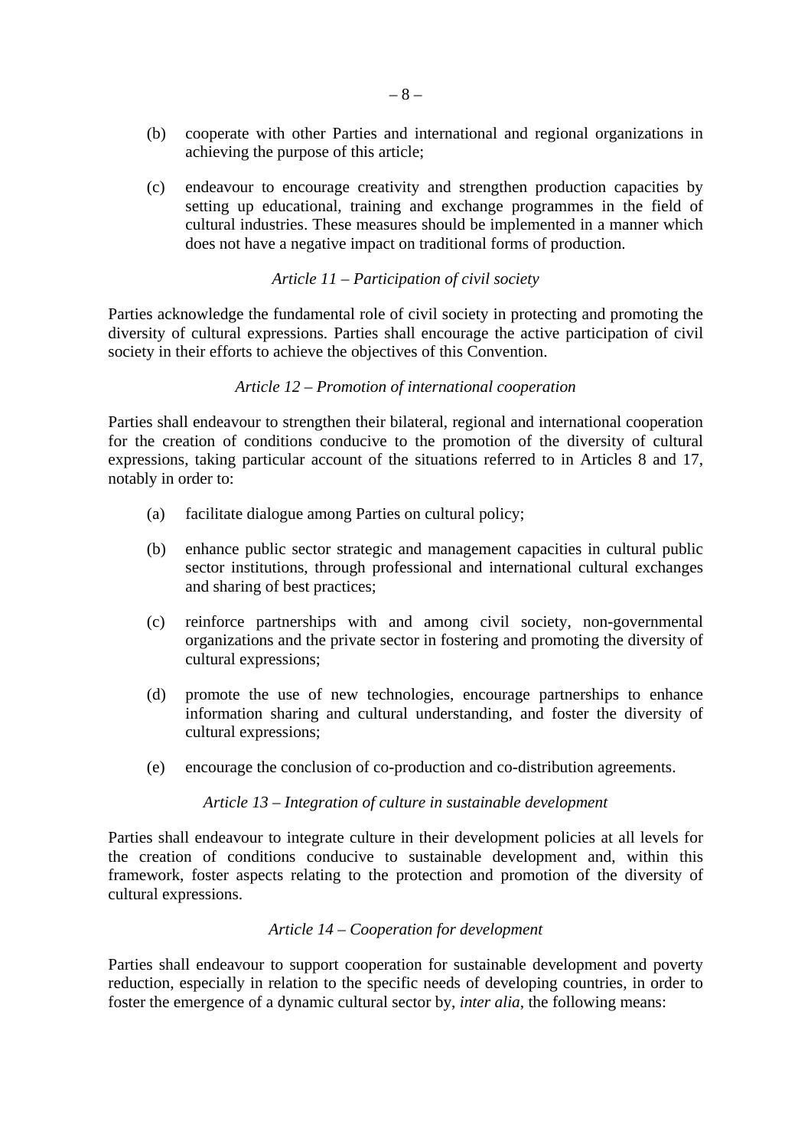- (b) cooperate with other Parties and international and regional organizations in achieving the purpose of this article;
- (c) endeavour to encourage creativity and strengthen production capacities by setting up educational, training and exchange programmes in the field of cultural industries. These measures should be implemented in a manner which does not have a negative impact on traditional forms of production.

#### *Article 11 – Participation of civil society*

Parties acknowledge the fundamental role of civil society in protecting and promoting the diversity of cultural expressions. Parties shall encourage the active participation of civil society in their efforts to achieve the objectives of this Convention.

#### *Article 12 – Promotion of international cooperation*

Parties shall endeavour to strengthen their bilateral, regional and international cooperation for the creation of conditions conducive to the promotion of the diversity of cultural expressions, taking particular account of the situations referred to in Articles 8 and 17, notably in order to:

- (a) facilitate dialogue among Parties on cultural policy;
- (b) enhance public sector strategic and management capacities in cultural public sector institutions, through professional and international cultural exchanges and sharing of best practices;
- (c) reinforce partnerships with and among civil society, non-governmental organizations and the private sector in fostering and promoting the diversity of cultural expressions;
- (d) promote the use of new technologies, encourage partnerships to enhance information sharing and cultural understanding, and foster the diversity of cultural expressions;
- (e) encourage the conclusion of co-production and co-distribution agreements.

*Article 13 – Integration of culture in sustainable development* 

Parties shall endeavour to integrate culture in their development policies at all levels for the creation of conditions conducive to sustainable development and, within this framework, foster aspects relating to the protection and promotion of the diversity of cultural expressions.

#### *Article 14 – Cooperation for development*

Parties shall endeavour to support cooperation for sustainable development and poverty reduction, especially in relation to the specific needs of developing countries, in order to foster the emergence of a dynamic cultural sector by, *inter alia*, the following means: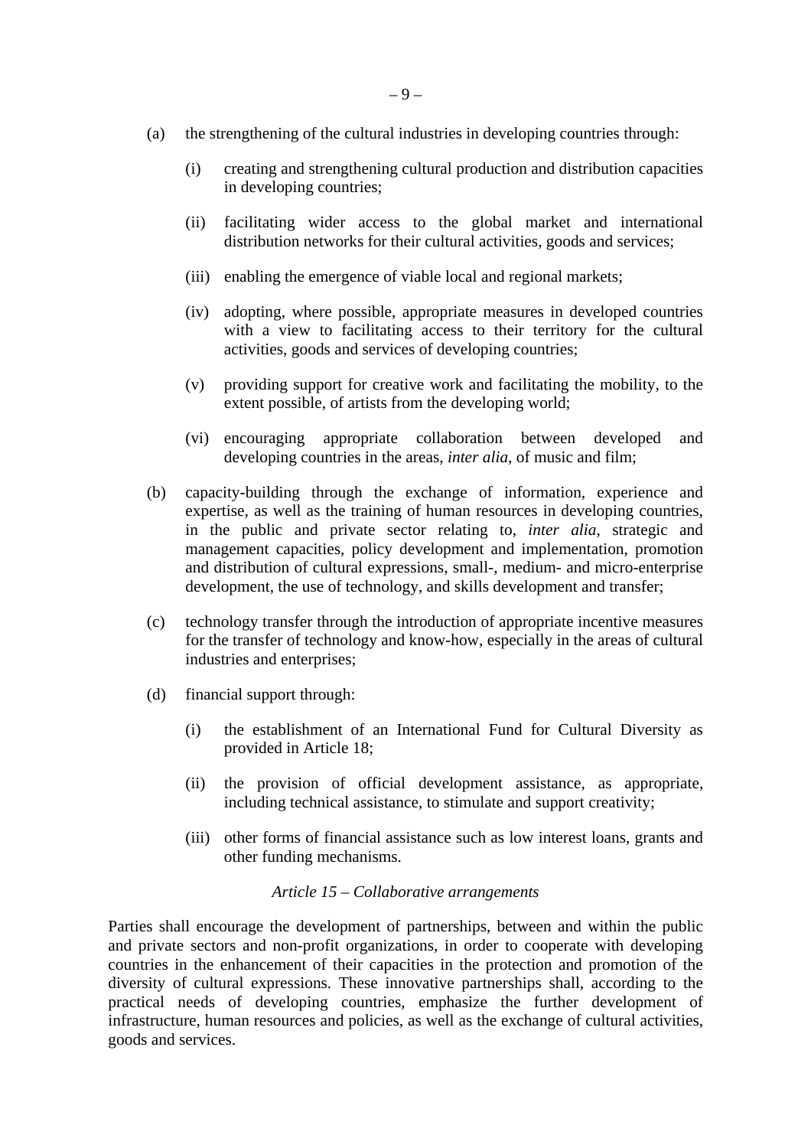- (a) the strengthening of the cultural industries in developing countries through:
	- (i) creating and strengthening cultural production and distribution capacities in developing countries;
	- (ii) facilitating wider access to the global market and international distribution networks for their cultural activities, goods and services;
	- (iii) enabling the emergence of viable local and regional markets;
	- (iv) adopting, where possible, appropriate measures in developed countries with a view to facilitating access to their territory for the cultural activities, goods and services of developing countries;
	- (v) providing support for creative work and facilitating the mobility, to the extent possible, of artists from the developing world;
	- (vi) encouraging appropriate collaboration between developed and developing countries in the areas, *inter alia*, of music and film;
- (b) capacity-building through the exchange of information, experience and expertise, as well as the training of human resources in developing countries, in the public and private sector relating to, *inter alia*, strategic and management capacities, policy development and implementation, promotion and distribution of cultural expressions, small-, medium- and micro-enterprise development, the use of technology, and skills development and transfer;
- (c) technology transfer through the introduction of appropriate incentive measures for the transfer of technology and know-how, especially in the areas of cultural industries and enterprises;
- (d) financial support through:
	- (i) the establishment of an International Fund for Cultural Diversity as provided in Article 18;
	- (ii) the provision of official development assistance, as appropriate, including technical assistance, to stimulate and support creativity;
	- (iii) other forms of financial assistance such as low interest loans, grants and other funding mechanisms.

#### *Article 15 – Collaborative arrangements*

Parties shall encourage the development of partnerships, between and within the public and private sectors and non-profit organizations, in order to cooperate with developing countries in the enhancement of their capacities in the protection and promotion of the diversity of cultural expressions. These innovative partnerships shall, according to the practical needs of developing countries, emphasize the further development of infrastructure, human resources and policies, as well as the exchange of cultural activities, goods and services.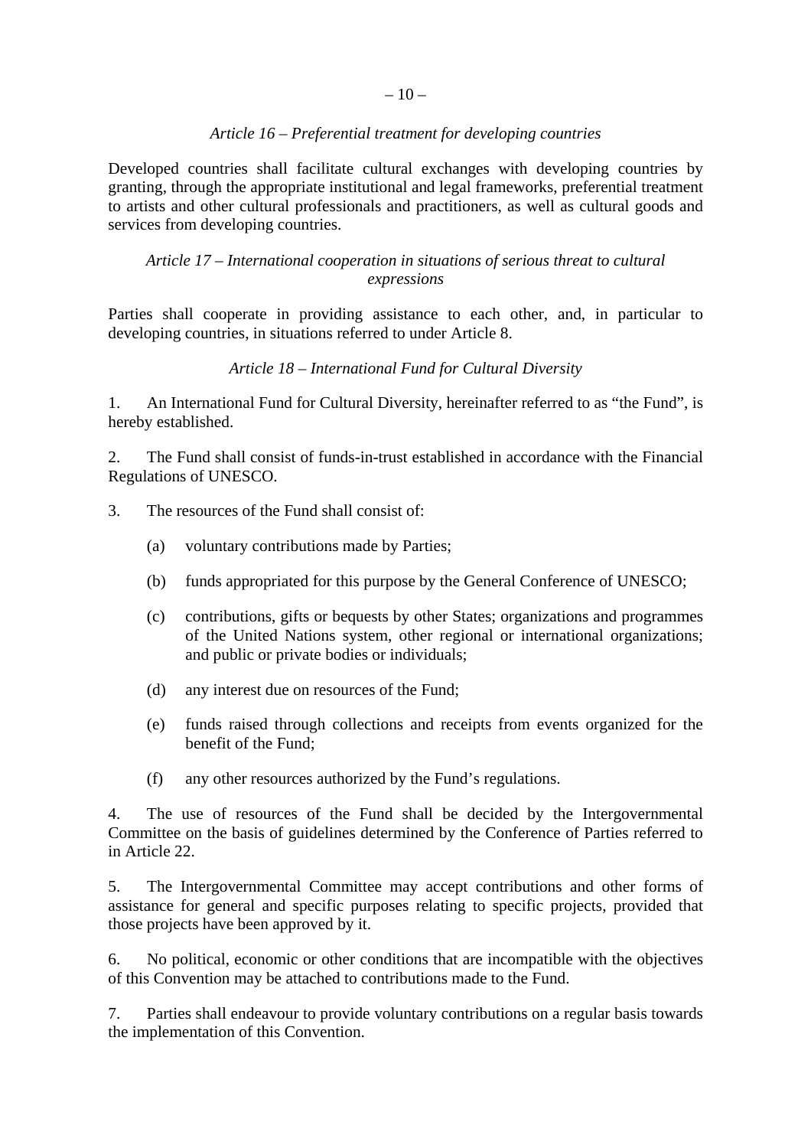$-10-$ 

### *Article 16 – Preferential treatment for developing countries*

Developed countries shall facilitate cultural exchanges with developing countries by granting, through the appropriate institutional and legal frameworks, preferential treatment to artists and other cultural professionals and practitioners, as well as cultural goods and services from developing countries.

### *Article 17 – International cooperation in situations of serious threat to cultural expressions*

Parties shall cooperate in providing assistance to each other, and, in particular to developing countries, in situations referred to under Article 8.

### *Article 18 – International Fund for Cultural Diversity*

1. An International Fund for Cultural Diversity, hereinafter referred to as "the Fund", is hereby established.

2. The Fund shall consist of funds-in-trust established in accordance with the Financial Regulations of UNESCO.

- 3. The resources of the Fund shall consist of:
	- (a) voluntary contributions made by Parties;
	- (b) funds appropriated for this purpose by the General Conference of UNESCO;
	- (c) contributions, gifts or bequests by other States; organizations and programmes of the United Nations system, other regional or international organizations; and public or private bodies or individuals;
	- (d) any interest due on resources of the Fund;
	- (e) funds raised through collections and receipts from events organized for the benefit of the Fund;
	- (f) any other resources authorized by the Fund's regulations.

4. The use of resources of the Fund shall be decided by the Intergovernmental Committee on the basis of guidelines determined by the Conference of Parties referred to in Article 22.

5. The Intergovernmental Committee may accept contributions and other forms of assistance for general and specific purposes relating to specific projects, provided that those projects have been approved by it.

6. No political, economic or other conditions that are incompatible with the objectives of this Convention may be attached to contributions made to the Fund.

7. Parties shall endeavour to provide voluntary contributions on a regular basis towards the implementation of this Convention.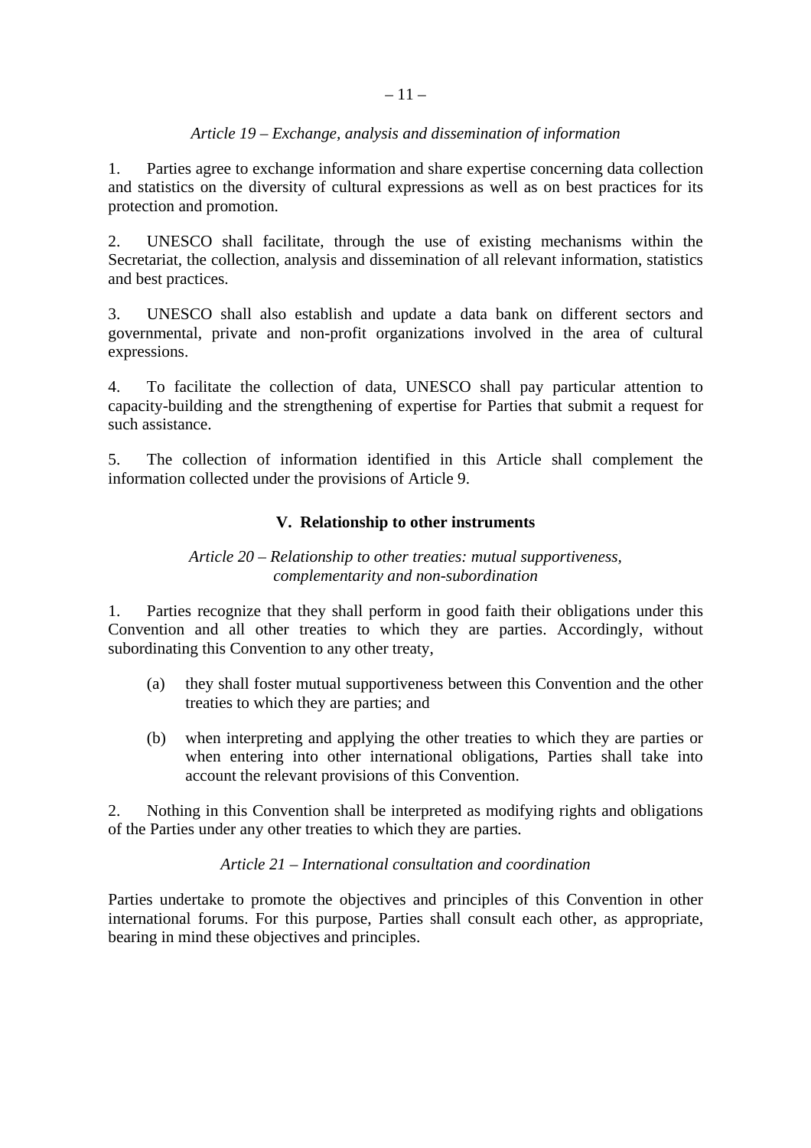#### $-11-$

## *Article 19 – Exchange, analysis and dissemination of information*

1. Parties agree to exchange information and share expertise concerning data collection and statistics on the diversity of cultural expressions as well as on best practices for its protection and promotion.

2. UNESCO shall facilitate, through the use of existing mechanisms within the Secretariat, the collection, analysis and dissemination of all relevant information, statistics and best practices.

3. UNESCO shall also establish and update a data bank on different sectors and governmental, private and non-profit organizations involved in the area of cultural expressions.

4. To facilitate the collection of data, UNESCO shall pay particular attention to capacity-building and the strengthening of expertise for Parties that submit a request for such assistance.

5. The collection of information identified in this Article shall complement the information collected under the provisions of Article 9.

# **V. Relationship to other instruments**

# *Article 20 – Relationship to other treaties: mutual supportiveness, complementarity and non-subordination*

1. Parties recognize that they shall perform in good faith their obligations under this Convention and all other treaties to which they are parties. Accordingly, without subordinating this Convention to any other treaty,

- (a) they shall foster mutual supportiveness between this Convention and the other treaties to which they are parties; and
- (b) when interpreting and applying the other treaties to which they are parties or when entering into other international obligations. Parties shall take into account the relevant provisions of this Convention.

2. Nothing in this Convention shall be interpreted as modifying rights and obligations of the Parties under any other treaties to which they are parties.

# *Article 21 – International consultation and coordination*

Parties undertake to promote the objectives and principles of this Convention in other international forums. For this purpose, Parties shall consult each other, as appropriate, bearing in mind these objectives and principles.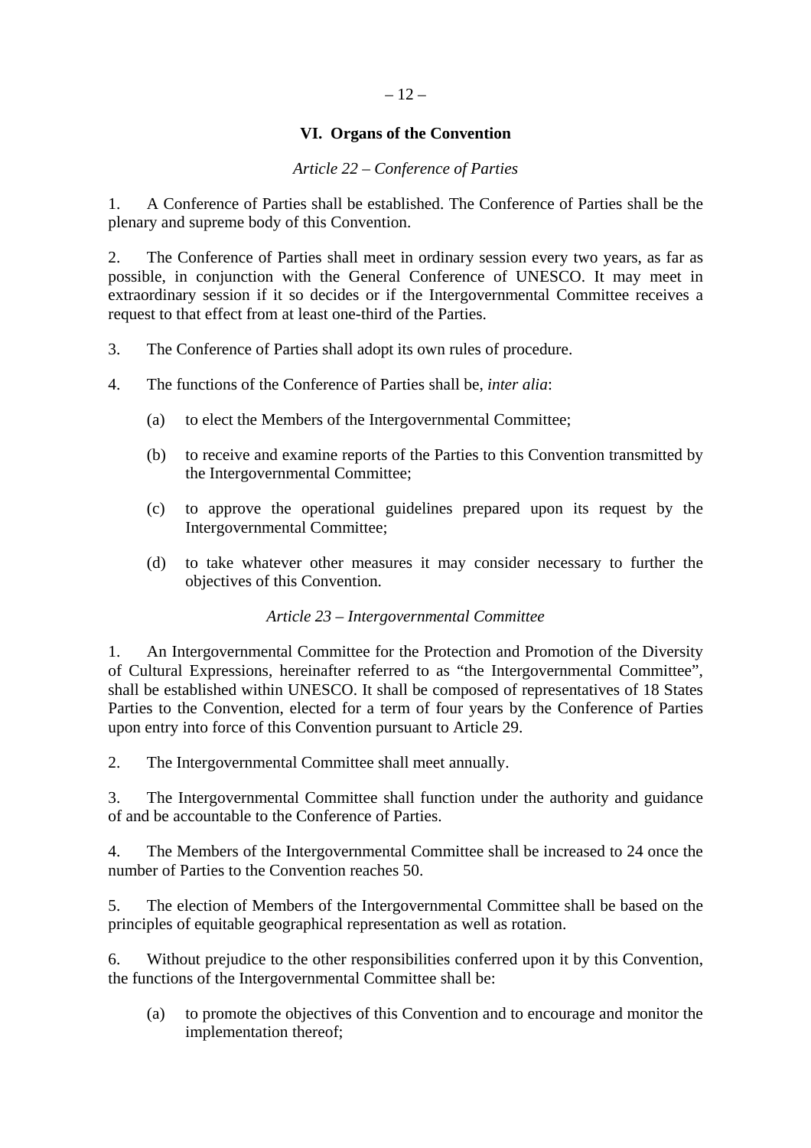## $-12-$

## **VI. Organs of the Convention**

### *Article 22 – Conference of Parties*

1. A Conference of Parties shall be established. The Conference of Parties shall be the plenary and supreme body of this Convention.

2. The Conference of Parties shall meet in ordinary session every two years, as far as possible, in conjunction with the General Conference of UNESCO. It may meet in extraordinary session if it so decides or if the Intergovernmental Committee receives a request to that effect from at least one-third of the Parties.

- 3. The Conference of Parties shall adopt its own rules of procedure.
- 4. The functions of the Conference of Parties shall be, *inter alia*:
	- (a) to elect the Members of the Intergovernmental Committee;
	- (b) to receive and examine reports of the Parties to this Convention transmitted by the Intergovernmental Committee;
	- (c) to approve the operational guidelines prepared upon its request by the Intergovernmental Committee;
	- (d) to take whatever other measures it may consider necessary to further the objectives of this Convention.

### *Article 23 – Intergovernmental Committee*

1. An Intergovernmental Committee for the Protection and Promotion of the Diversity of Cultural Expressions, hereinafter referred to as "the Intergovernmental Committee", shall be established within UNESCO. It shall be composed of representatives of 18 States Parties to the Convention, elected for a term of four years by the Conference of Parties upon entry into force of this Convention pursuant to Article 29.

2. The Intergovernmental Committee shall meet annually.

3. The Intergovernmental Committee shall function under the authority and guidance of and be accountable to the Conference of Parties.

4. The Members of the Intergovernmental Committee shall be increased to 24 once the number of Parties to the Convention reaches 50.

5. The election of Members of the Intergovernmental Committee shall be based on the principles of equitable geographical representation as well as rotation.

6. Without prejudice to the other responsibilities conferred upon it by this Convention, the functions of the Intergovernmental Committee shall be:

(a) to promote the objectives of this Convention and to encourage and monitor the implementation thereof;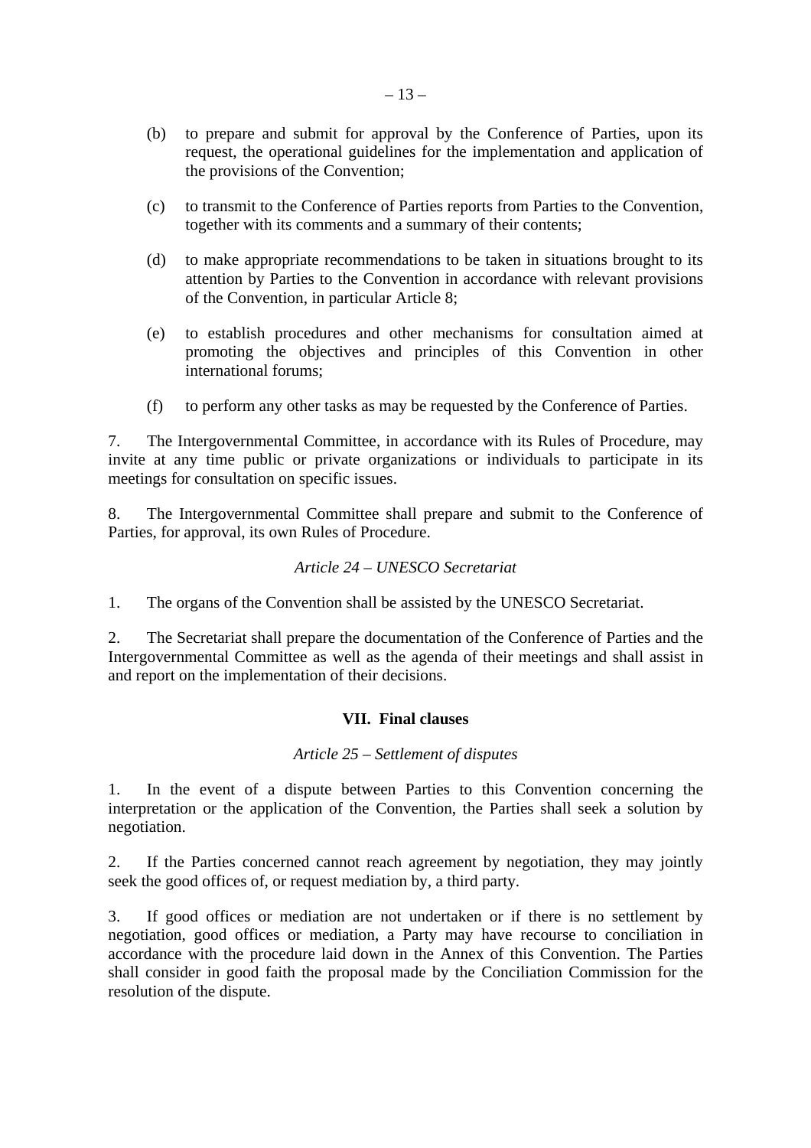- (b) to prepare and submit for approval by the Conference of Parties, upon its request, the operational guidelines for the implementation and application of the provisions of the Convention;
- (c) to transmit to the Conference of Parties reports from Parties to the Convention, together with its comments and a summary of their contents;
- (d) to make appropriate recommendations to be taken in situations brought to its attention by Parties to the Convention in accordance with relevant provisions of the Convention, in particular Article 8;
- (e) to establish procedures and other mechanisms for consultation aimed at promoting the objectives and principles of this Convention in other international forums;
- (f) to perform any other tasks as may be requested by the Conference of Parties.

7. The Intergovernmental Committee, in accordance with its Rules of Procedure, may invite at any time public or private organizations or individuals to participate in its meetings for consultation on specific issues.

8. The Intergovernmental Committee shall prepare and submit to the Conference of Parties, for approval, its own Rules of Procedure.

#### *Article 24 – UNESCO Secretariat*

1. The organs of the Convention shall be assisted by the UNESCO Secretariat.

2. The Secretariat shall prepare the documentation of the Conference of Parties and the Intergovernmental Committee as well as the agenda of their meetings and shall assist in and report on the implementation of their decisions.

### **VII. Final clauses**

#### *Article 25 – Settlement of disputes*

1. In the event of a dispute between Parties to this Convention concerning the interpretation or the application of the Convention, the Parties shall seek a solution by negotiation.

2. If the Parties concerned cannot reach agreement by negotiation, they may jointly seek the good offices of, or request mediation by, a third party.

3. If good offices or mediation are not undertaken or if there is no settlement by negotiation, good offices or mediation, a Party may have recourse to conciliation in accordance with the procedure laid down in the Annex of this Convention. The Parties shall consider in good faith the proposal made by the Conciliation Commission for the resolution of the dispute.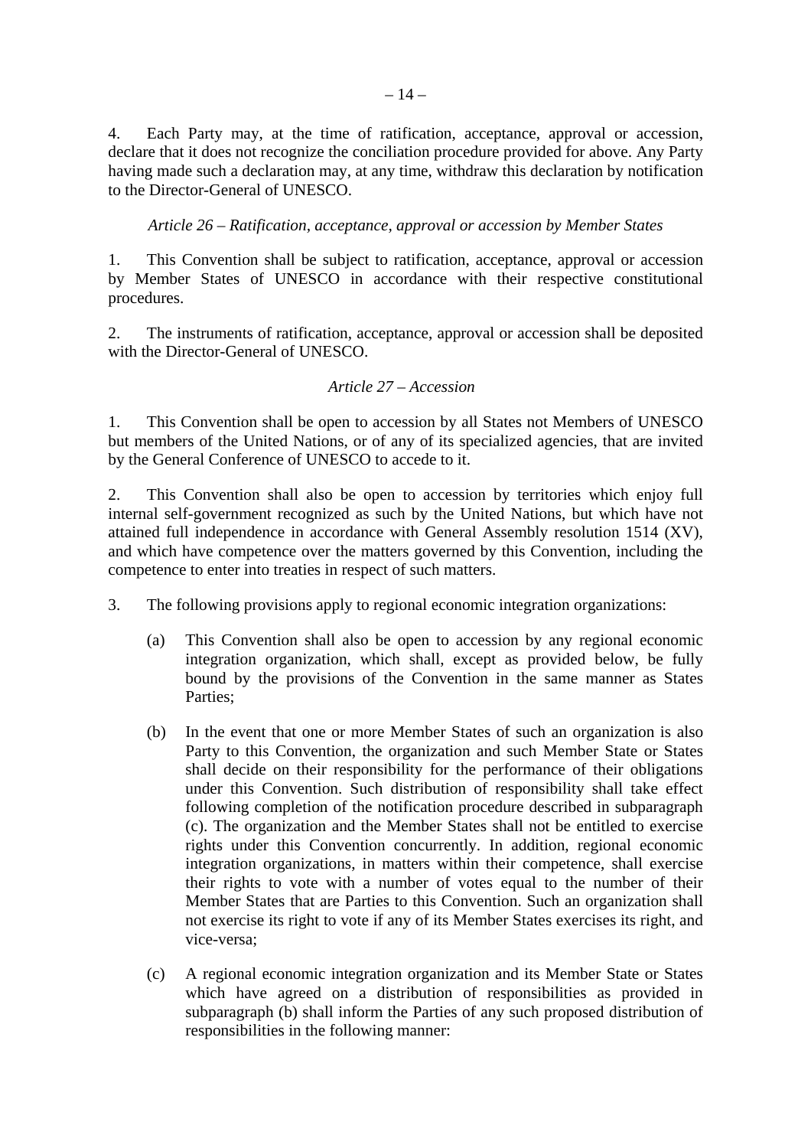4. Each Party may, at the time of ratification, acceptance, approval or accession, declare that it does not recognize the conciliation procedure provided for above. Any Party having made such a declaration may, at any time, withdraw this declaration by notification to the Director-General of UNESCO.

*Article 26 – Ratification, acceptance, approval or accession by Member States* 

1. This Convention shall be subject to ratification, acceptance, approval or accession by Member States of UNESCO in accordance with their respective constitutional procedures.

2. The instruments of ratification, acceptance, approval or accession shall be deposited with the Director-General of UNESCO.

## *Article 27 – Accession*

1. This Convention shall be open to accession by all States not Members of UNESCO but members of the United Nations, or of any of its specialized agencies, that are invited by the General Conference of UNESCO to accede to it.

2. This Convention shall also be open to accession by territories which enjoy full internal self-government recognized as such by the United Nations, but which have not attained full independence in accordance with General Assembly resolution 1514 (XV), and which have competence over the matters governed by this Convention, including the competence to enter into treaties in respect of such matters.

3. The following provisions apply to regional economic integration organizations:

- (a) This Convention shall also be open to accession by any regional economic integration organization, which shall, except as provided below, be fully bound by the provisions of the Convention in the same manner as States Parties;
- (b) In the event that one or more Member States of such an organization is also Party to this Convention, the organization and such Member State or States shall decide on their responsibility for the performance of their obligations under this Convention. Such distribution of responsibility shall take effect following completion of the notification procedure described in subparagraph (c). The organization and the Member States shall not be entitled to exercise rights under this Convention concurrently. In addition, regional economic integration organizations, in matters within their competence, shall exercise their rights to vote with a number of votes equal to the number of their Member States that are Parties to this Convention. Such an organization shall not exercise its right to vote if any of its Member States exercises its right, and vice-versa;
- (c) A regional economic integration organization and its Member State or States which have agreed on a distribution of responsibilities as provided in subparagraph (b) shall inform the Parties of any such proposed distribution of responsibilities in the following manner: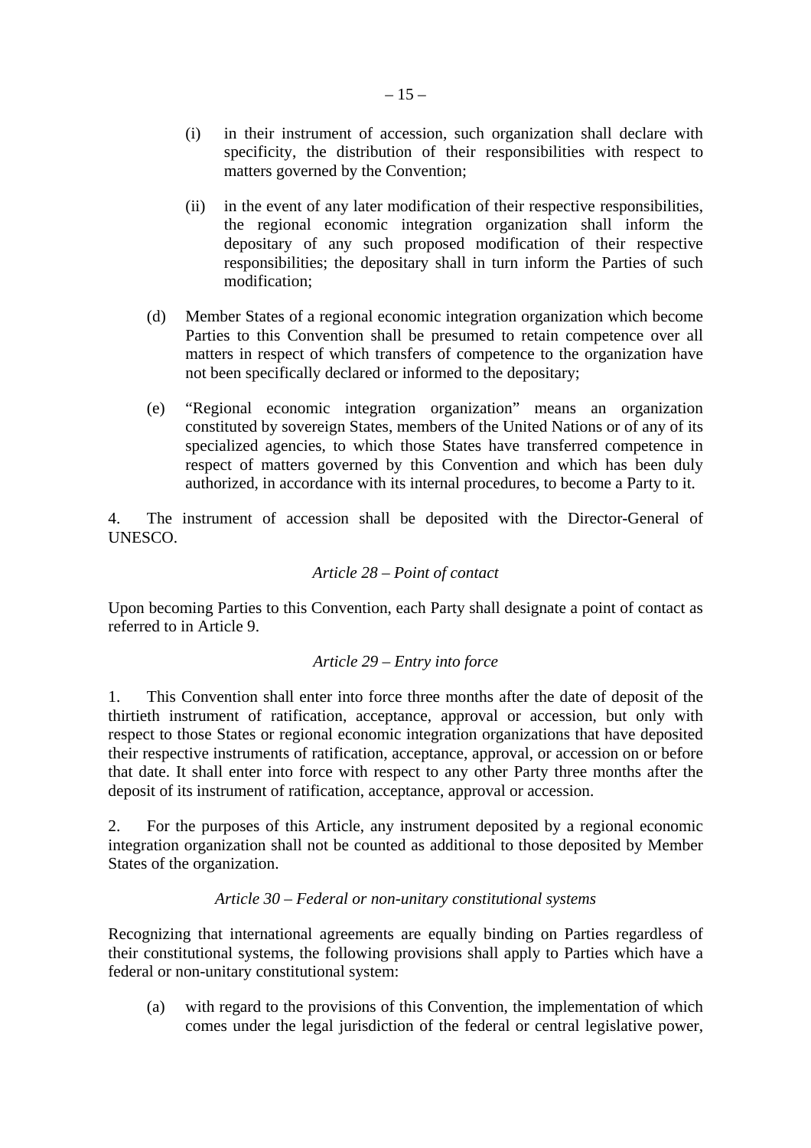- (i) in their instrument of accession, such organization shall declare with specificity, the distribution of their responsibilities with respect to matters governed by the Convention;
- (ii) in the event of any later modification of their respective responsibilities, the regional economic integration organization shall inform the depositary of any such proposed modification of their respective responsibilities; the depositary shall in turn inform the Parties of such modification;
- (d) Member States of a regional economic integration organization which become Parties to this Convention shall be presumed to retain competence over all matters in respect of which transfers of competence to the organization have not been specifically declared or informed to the depositary;
- (e) "Regional economic integration organization" means an organization constituted by sovereign States, members of the United Nations or of any of its specialized agencies, to which those States have transferred competence in respect of matters governed by this Convention and which has been duly authorized, in accordance with its internal procedures, to become a Party to it.

4. The instrument of accession shall be deposited with the Director-General of UNESCO.

## *Article 28 – Point of contact*

Upon becoming Parties to this Convention, each Party shall designate a point of contact as referred to in Article 9.

### *Article 29 – Entry into force*

1. This Convention shall enter into force three months after the date of deposit of the thirtieth instrument of ratification, acceptance, approval or accession, but only with respect to those States or regional economic integration organizations that have deposited their respective instruments of ratification, acceptance, approval, or accession on or before that date. It shall enter into force with respect to any other Party three months after the deposit of its instrument of ratification, acceptance, approval or accession.

2. For the purposes of this Article, any instrument deposited by a regional economic integration organization shall not be counted as additional to those deposited by Member States of the organization.

### *Article 30 – Federal or non-unitary constitutional systems*

Recognizing that international agreements are equally binding on Parties regardless of their constitutional systems, the following provisions shall apply to Parties which have a federal or non-unitary constitutional system:

(a) with regard to the provisions of this Convention, the implementation of which comes under the legal jurisdiction of the federal or central legislative power,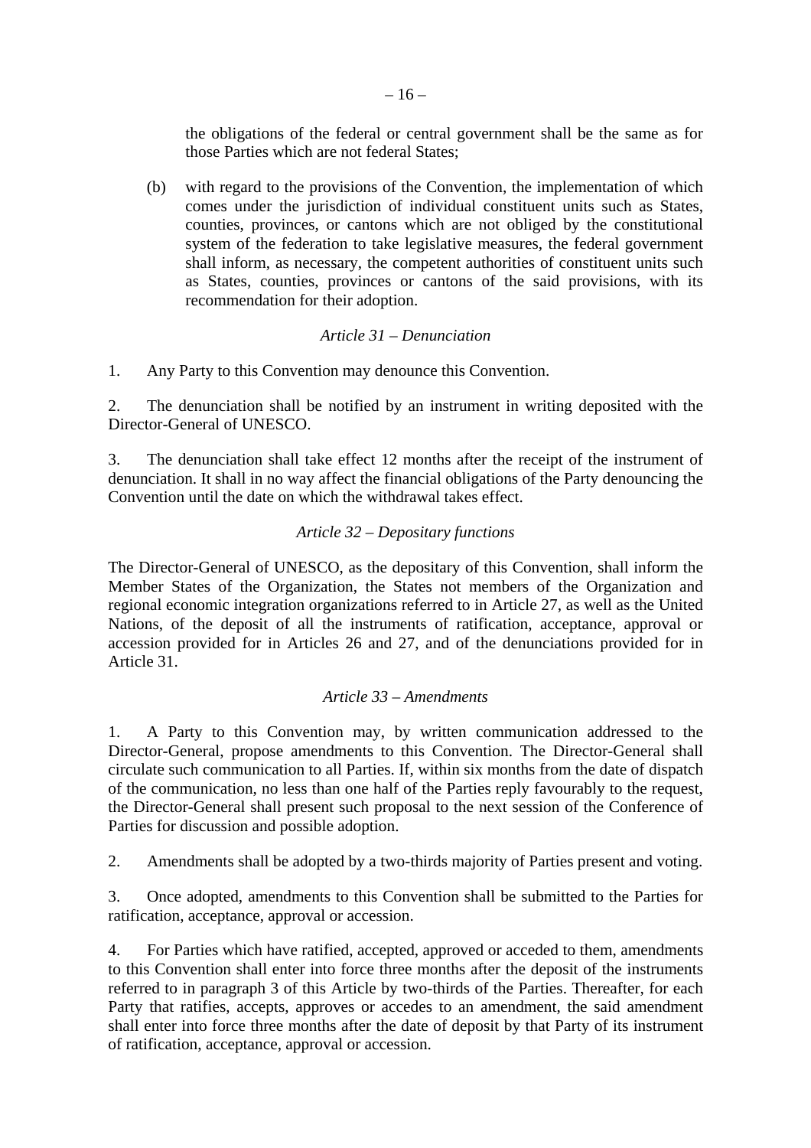the obligations of the federal or central government shall be the same as for those Parties which are not federal States;

(b) with regard to the provisions of the Convention, the implementation of which comes under the jurisdiction of individual constituent units such as States, counties, provinces, or cantons which are not obliged by the constitutional system of the federation to take legislative measures, the federal government shall inform, as necessary, the competent authorities of constituent units such as States, counties, provinces or cantons of the said provisions, with its recommendation for their adoption.

### *Article 31 – Denunciation*

1. Any Party to this Convention may denounce this Convention.

2. The denunciation shall be notified by an instrument in writing deposited with the Director-General of UNESCO.

3. The denunciation shall take effect 12 months after the receipt of the instrument of denunciation. It shall in no way affect the financial obligations of the Party denouncing the Convention until the date on which the withdrawal takes effect.

## *Article 32 – Depositary functions*

The Director-General of UNESCO, as the depositary of this Convention, shall inform the Member States of the Organization, the States not members of the Organization and regional economic integration organizations referred to in Article 27, as well as the United Nations, of the deposit of all the instruments of ratification, acceptance, approval or accession provided for in Articles 26 and 27, and of the denunciations provided for in Article 31.

### *Article 33 – Amendments*

1. A Party to this Convention may, by written communication addressed to the Director-General, propose amendments to this Convention. The Director-General shall circulate such communication to all Parties. If, within six months from the date of dispatch of the communication, no less than one half of the Parties reply favourably to the request, the Director-General shall present such proposal to the next session of the Conference of Parties for discussion and possible adoption.

2. Amendments shall be adopted by a two-thirds majority of Parties present and voting.

3. Once adopted, amendments to this Convention shall be submitted to the Parties for ratification, acceptance, approval or accession.

4. For Parties which have ratified, accepted, approved or acceded to them, amendments to this Convention shall enter into force three months after the deposit of the instruments referred to in paragraph 3 of this Article by two-thirds of the Parties. Thereafter, for each Party that ratifies, accepts, approves or accedes to an amendment, the said amendment shall enter into force three months after the date of deposit by that Party of its instrument of ratification, acceptance, approval or accession.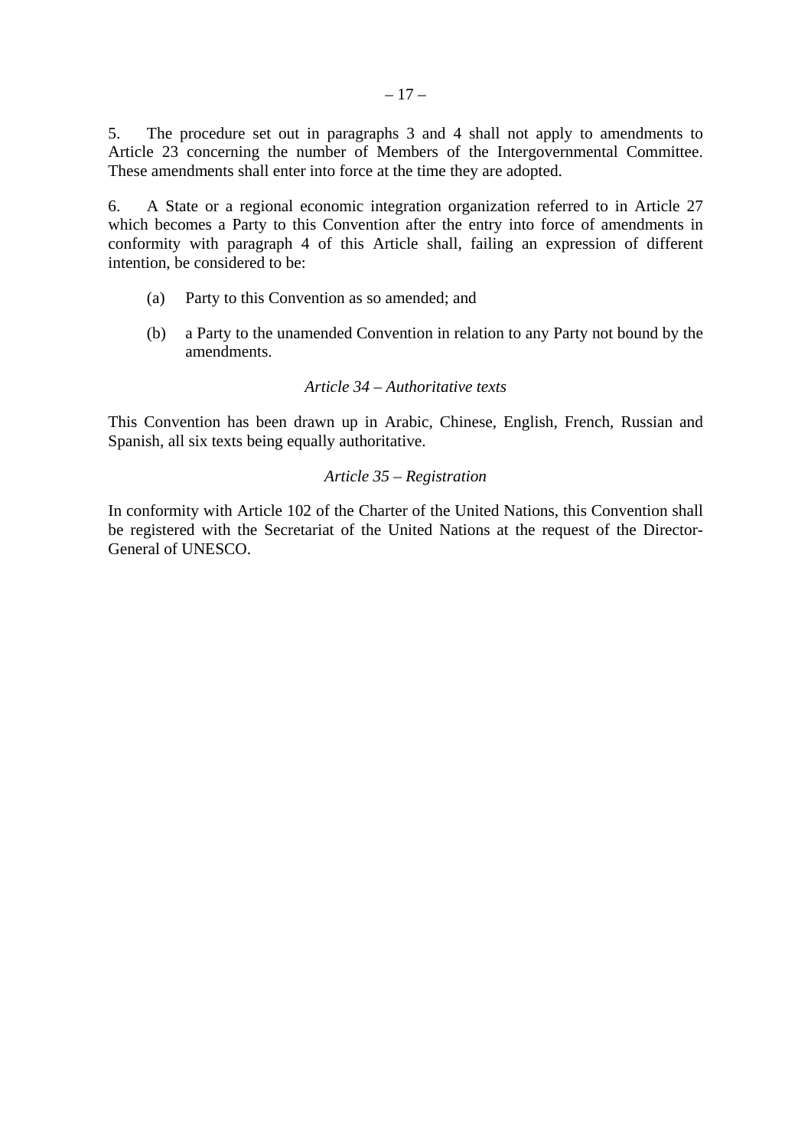5. The procedure set out in paragraphs 3 and 4 shall not apply to amendments to Article 23 concerning the number of Members of the Intergovernmental Committee. These amendments shall enter into force at the time they are adopted.

6. A State or a regional economic integration organization referred to in Article 27 which becomes a Party to this Convention after the entry into force of amendments in conformity with paragraph 4 of this Article shall, failing an expression of different intention, be considered to be:

- (a) Party to this Convention as so amended; and
- (b) a Party to the unamended Convention in relation to any Party not bound by the amendments.

### *Article 34 – Authoritative texts*

This Convention has been drawn up in Arabic, Chinese, English, French, Russian and Spanish, all six texts being equally authoritative.

#### *Article 35 – Registration*

In conformity with Article 102 of the Charter of the United Nations, this Convention shall be registered with the Secretariat of the United Nations at the request of the Director-General of UNESCO.